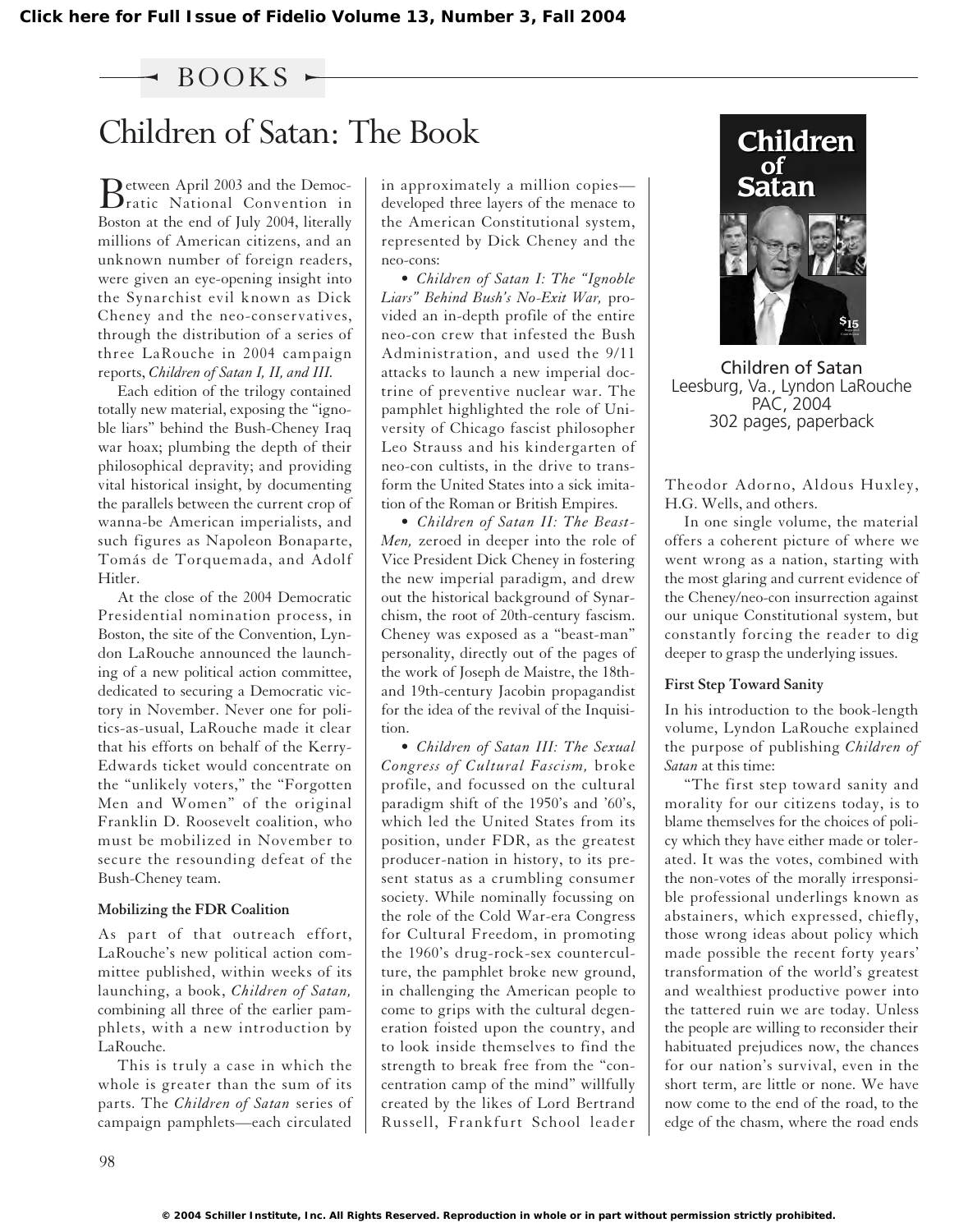### $\sim$  BOOKS  $\sim$

# Children of Satan: The Book **Children**<br>
Detween April 2003 and the Democ- | in approximately a million copies— | **Satan**

Between April 2003 and the Democ-<br>Pratic National Convention in Boston at the end of July 2004, literally millions of American citizens, and an unknown number of foreign readers, were given an eye-opening insight into the Synarchist evil known as Dick Cheney and the neo-conservatives, through the distribution of a series of three LaRouche in 2004 campaign reports, *Children of Satan I, II, and III.*

Each edition of the trilogy contained totally new material, exposing the "ignoble liars" behind the Bush-Cheney Iraq war hoax; plumbing the depth of their philosophical depravity; and providing vital historical insight, by documenting the parallels between the current crop of wanna-be American imperialists, and such figures as Napoleon Bonaparte, Tomás de Torquemada, and Adolf Hitler.

At the close of the 2004 Democratic Presidential nomination process, in Boston, the site of the Convention, Lyndon LaRouche announced the launching of a new political action committee, dedicated to securing a Democratic victory in November. Never one for politics-as-usual, LaRouche made it clear that his efforts on behalf of the Kerry-Edwards ticket would concentrate on the "unlikely voters," the "Forgotten Men and Women" of the original Franklin D. Roosevelt coalition, who must be mobilized in November to secure the resounding defeat of the Bush-Cheney team.

#### **Mobilizing the FDR Coalition**

As part of that outreach effort, LaRouche's new political action committee published, within weeks of its launching, a book, *Children of Satan,* combining all three of the earlier pamphlets, with a new introduction by LaRouche.

This is truly a case in which the whole is greater than the sum of its parts. The *Children of Satan* series of campaign pamphlets—each circulated

in approximately a million copies developed three layers of the menace to the American Constitutional system, represented by Dick Cheney and the neo-cons:

• *Children of Satan I: The "Ignoble Liars" Behind Bush's No-Exit War,* provided an in-depth profile of the entire neo-con crew that infested the Bush Administration, and used the 9/11 attacks to launch a new imperial doctrine of preventive nuclear war. The pamphlet highlighted the role of University of Chicago fascist philosopher Leo Strauss and his kindergarten of neo-con cultists, in the drive to transform the United States into a sick imitation of the Roman or British Empires.

• *Children of Satan II: The Beast-Men,* zeroed in deeper into the role of Vice President Dick Cheney in fostering the new imperial paradigm, and drew out the historical background of Synarchism, the root of 20th-century fascism. Cheney was exposed as a "beast-man" personality, directly out of the pages of the work of Joseph de Maistre, the 18thand 19th-century Jacobin propagandist for the idea of the revival of the Inquisition.

• *Children of Satan III: The Sexual Congress of Cultural Fascism,* broke profile, and focussed on the cultural paradigm shift of the 1950's and '60's, which led the United States from its position, under FDR, as the greatest producer-nation in history, to its present status as a crumbling consumer society. While nominally focussing on the role of the Cold War-era Congress for Cultural Freedom, in promoting the 1960's drug-rock-sex counterculture, the pamphlet broke new ground, in challenging the American people to come to grips with the cultural degeneration foisted upon the country, and to look inside themselves to find the strength to break free from the "concentration camp of the mind" willfully created by the likes of Lord Bertrand Russell, Frankfurt School leader



Children of Satan Leesburg, Va., Lyndon LaRouche PAC, 2004 302 pages, paperback

Theodor Adorno, Aldous Huxley, H.G. Wells, and others.

In one single volume, the material offers a coherent picture of where we went wrong as a nation, starting with the most glaring and current evidence of the Cheney/neo-con insurrection against our unique Constitutional system, but constantly forcing the reader to dig deeper to grasp the underlying issues.

#### **First Step Toward Sanity**

In his introduction to the book-length volume, Lyndon LaRouche explained the purpose of publishing *Children of Satan* at this time:

"The first step toward sanity and morality for our citizens today, is to blame themselves for the choices of policy which they have either made or tolerated. It was the votes, combined with the non-votes of the morally irresponsible professional underlings known as abstainers, which expressed, chiefly, those wrong ideas about policy which made possible the recent forty years' transformation of the world's greatest and wealthiest productive power into the tattered ruin we are today. Unless the people are willing to reconsider their habituated prejudices now, the chances for our nation's survival, even in the short term, are little or none. We have now come to the end of the road, to the edge of the chasm, where the road ends